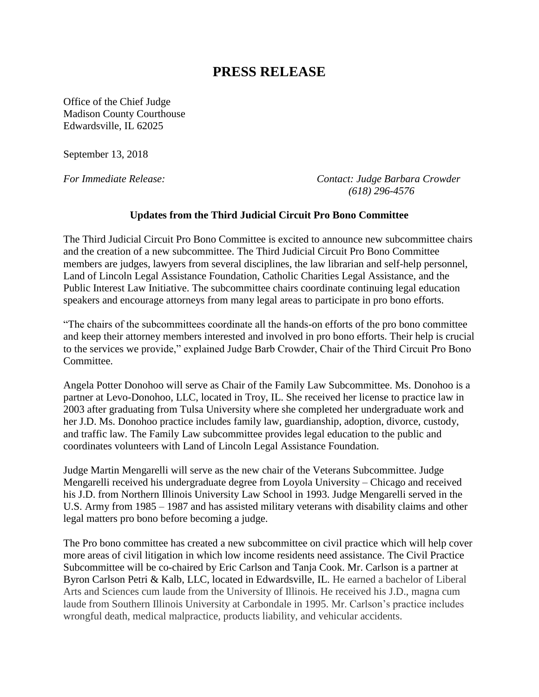## **PRESS RELEASE**

Office of the Chief Judge Madison County Courthouse Edwardsville, IL 62025

September 13, 2018

*For Immediate Release: Contact: Judge Barbara Crowder (618) 296-4576*

## **Updates from the Third Judicial Circuit Pro Bono Committee**

The Third Judicial Circuit Pro Bono Committee is excited to announce new subcommittee chairs and the creation of a new subcommittee. The Third Judicial Circuit Pro Bono Committee members are judges, lawyers from several disciplines, the law librarian and self-help personnel, Land of Lincoln Legal Assistance Foundation, Catholic Charities Legal Assistance, and the Public Interest Law Initiative. The subcommittee chairs coordinate continuing legal education speakers and encourage attorneys from many legal areas to participate in pro bono efforts.

"The chairs of the subcommittees coordinate all the hands-on efforts of the pro bono committee and keep their attorney members interested and involved in pro bono efforts. Their help is crucial to the services we provide," explained Judge Barb Crowder, Chair of the Third Circuit Pro Bono Committee.

Angela Potter Donohoo will serve as Chair of the Family Law Subcommittee. Ms. Donohoo is a partner at Levo-Donohoo, LLC, located in Troy, IL. She received her license to practice law in 2003 after graduating from Tulsa University where she completed her undergraduate work and her J.D. Ms. Donohoo practice includes family law, guardianship, adoption, divorce, custody, and traffic law. The Family Law subcommittee provides legal education to the public and coordinates volunteers with Land of Lincoln Legal Assistance Foundation.

Judge Martin Mengarelli will serve as the new chair of the Veterans Subcommittee. Judge Mengarelli received his undergraduate degree from Loyola University – Chicago and received his J.D. from Northern Illinois University Law School in 1993. Judge Mengarelli served in the U.S. Army from 1985 – 1987 and has assisted military veterans with disability claims and other legal matters pro bono before becoming a judge.

The Pro bono committee has created a new subcommittee on civil practice which will help cover more areas of civil litigation in which low income residents need assistance. The Civil Practice Subcommittee will be co-chaired by Eric Carlson and Tanja Cook. Mr. Carlson is a partner at Byron Carlson Petri & Kalb, LLC, located in Edwardsville, IL. He earned a bachelor of Liberal Arts and Sciences cum laude from the University of Illinois. He received his J.D., magna cum laude from Southern Illinois University at Carbondale in 1995. Mr. Carlson's practice includes wrongful death, medical malpractice, products liability, and vehicular accidents.